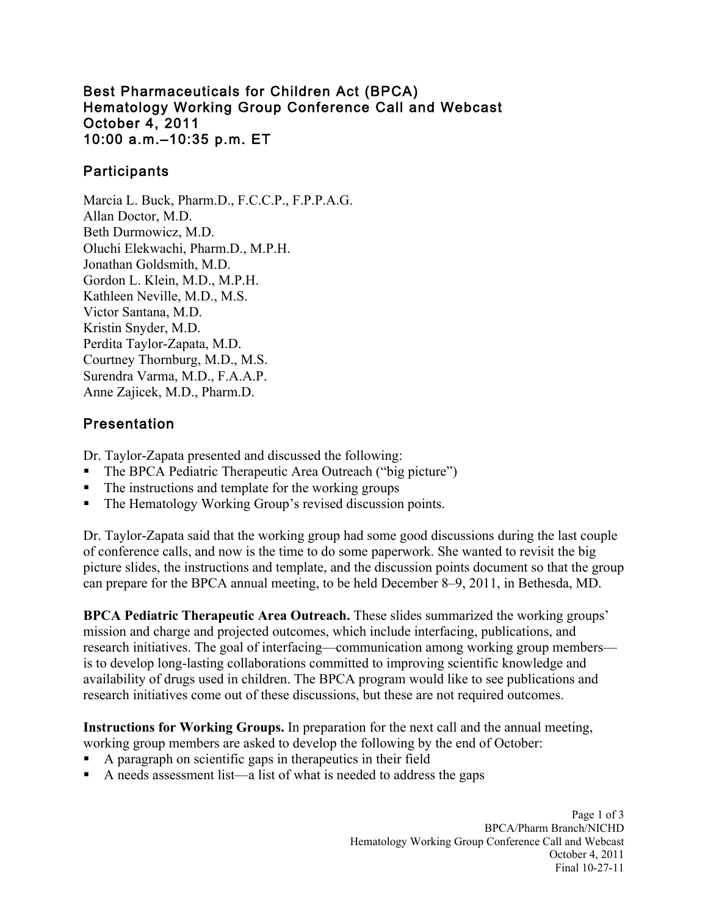#### Best Pharmaceuticals for Children Act (BPCA) Hematology Working Group Conference Call and Webcast October 4, 2011 10:00 a.m.–10:35 p.m. ET

## **Participants**

Marcia L. Buck, Pharm.D., F.C.C.P., F.P.P.A.G. Allan Doctor, M.D. Beth Durmowicz, M.D. Oluchi Elekwachi, Pharm.D., M.P.H. Jonathan Goldsmith, M.D. Gordon L. Klein, M.D., M.P.H. Kathleen Neville, M.D., M.S. Victor Santana, M.D. Kristin Snyder, M.D. Perdita Taylor-Zapata, M.D. Courtney Thornburg, M.D., M.S. Surendra Varma, M.D., F.A.A.P. Anne Zajicek, M.D., Pharm.D.

# Presentation

Dr. Taylor-Zapata presented and discussed the following:

- The BPCA Pediatric Therapeutic Area Outreach ("big picture")
- The instructions and template for the working groups
- The Hematology Working Group's revised discussion points.

Dr. Taylor-Zapata said that the working group had some good discussions during the last couple of conference calls, and now is the time to do some paperwork. She wanted to revisit the big picture slides, the instructions and template, and the discussion points document so that the group can prepare for the BPCA annual meeting, to be held December 8–9, 2011, in Bethesda, MD.

 **BPCA Pediatric Therapeutic Area Outreach.** These slides summarized the working groups' mission and charge and projected outcomes, which include interfacing, publications, and research initiatives. The goal of interfacing—communication among working group members is to develop long-lasting collaborations committed to improving scientific knowledge and availability of drugs used in children. The BPCA program would like to see publications and research initiatives come out of these discussions, but these are not required outcomes.

**Instructions for Working Groups.** In preparation for the next call and the annual meeting,

- working group members are asked to develop the following by the end of October:
- A paragraph on scientific gaps in therapeutics in their field
- A needs assessment list—a list of what is needed to address the gaps

Page 1 of 3 BPCA/Pharm Branch/NICHD Hematology Working Group Conference Call and Webcast October 4, 2011 Final 10-27-11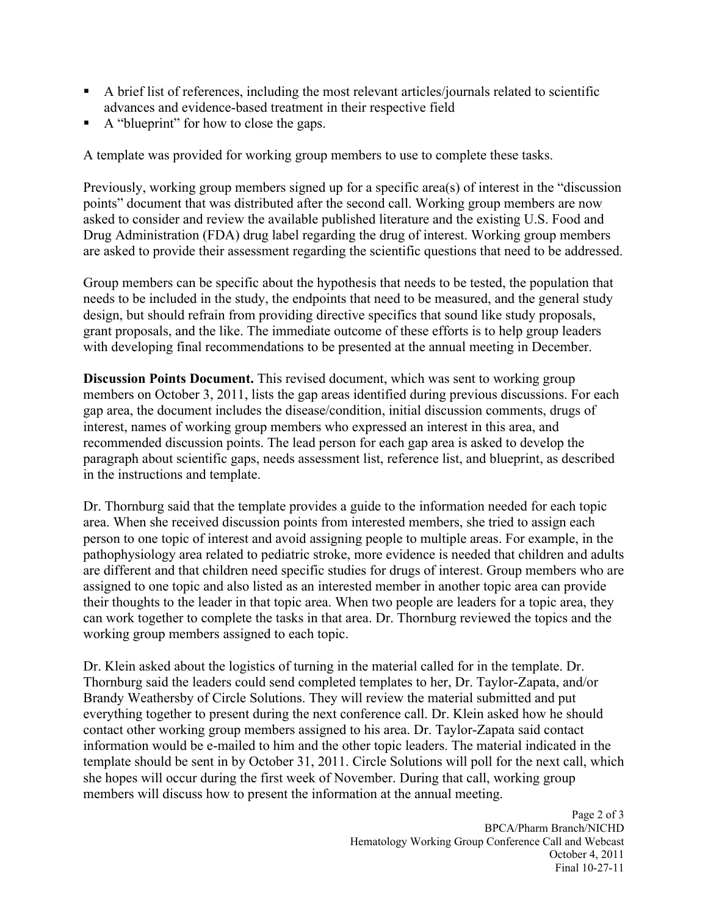- advances and evidence-based treatment in their respective field A brief list of references, including the most relevant articles/journals related to scientific
- A "blueprint" for how to close the gaps.

A template was provided for working group members to use to complete these tasks.

Previously, working group members signed up for a specific area(s) of interest in the "discussion points" document that was distributed after the second call. Working group members are now asked to consider and review the available published literature and the existing U.S. Food and Drug Administration (FDA) drug label regarding the drug of interest. Working group members are asked to provide their assessment regarding the scientific questions that need to be addressed.

Group members can be specific about the hypothesis that needs to be tested, the population that needs to be included in the study, the endpoints that need to be measured, and the general study design, but should refrain from providing directive specifics that sound like study proposals, grant proposals, and the like. The immediate outcome of these efforts is to help group leaders with developing final recommendations to be presented at the annual meeting in December.

**Discussion Points Document.** This revised document, which was sent to working group members on October 3, 2011, lists the gap areas identified during previous discussions. For each gap area, the document includes the disease/condition, initial discussion comments, drugs of interest, names of working group members who expressed an interest in this area, and recommended discussion points. The lead person for each gap area is asked to develop the paragraph about scientific gaps, needs assessment list, reference list, and blueprint, as described in the instructions and template.

 Dr. Thornburg said that the template provides a guide to the information needed for each topic area. When she received discussion points from interested members, she tried to assign each person to one topic of interest and avoid assigning people to multiple areas. For example, in the pathophysiology area related to pediatric stroke, more evidence is needed that children and adults are different and that children need specific studies for drugs of interest. Group members who are assigned to one topic and also listed as an interested member in another topic area can provide their thoughts to the leader in that topic area. When two people are leaders for a topic area, they can work together to complete the tasks in that area. Dr. Thornburg reviewed the topics and the working group members assigned to each topic.

Dr. Klein asked about the logistics of turning in the material called for in the template. Dr. Thornburg said the leaders could send completed templates to her, Dr. Taylor-Zapata, and/or Brandy Weathersby of Circle Solutions. They will review the material submitted and put everything together to present during the next conference call. Dr. Klein asked how he should contact other working group members assigned to his area. Dr. Taylor-Zapata said contact information would be e-mailed to him and the other topic leaders. The material indicated in the template should be sent in by October 31, 2011. Circle Solutions will poll for the next call, which she hopes will occur during the first week of November. During that call, working group members will discuss how to present the information at the annual meeting.